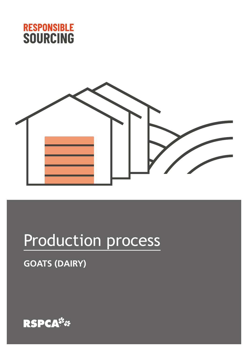



# Production process

### **GOATS (DAIRY)**